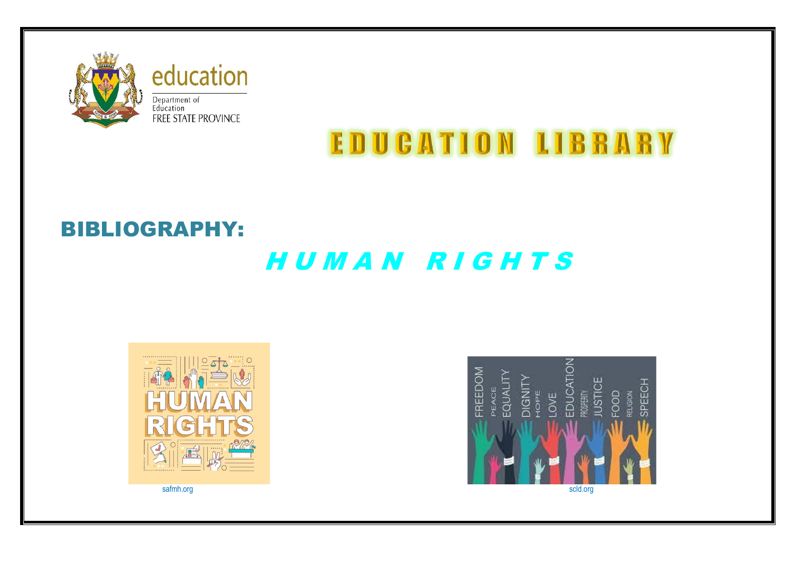

education Department of<br>Education<br>FREE STATE PROVINCE

# **EDUCATION LIBRARY**

## BIBLIOGRAPHY:

## H U M A N R I G H T S



á FREEDOM EDUCATI **IUSTICE** EQUALIT DIGNITY<br>HOPE SPEECH PEACE LOVE **ROSPERITY**  $\frac{1}{2}$ ELIGION safmh.org scld.org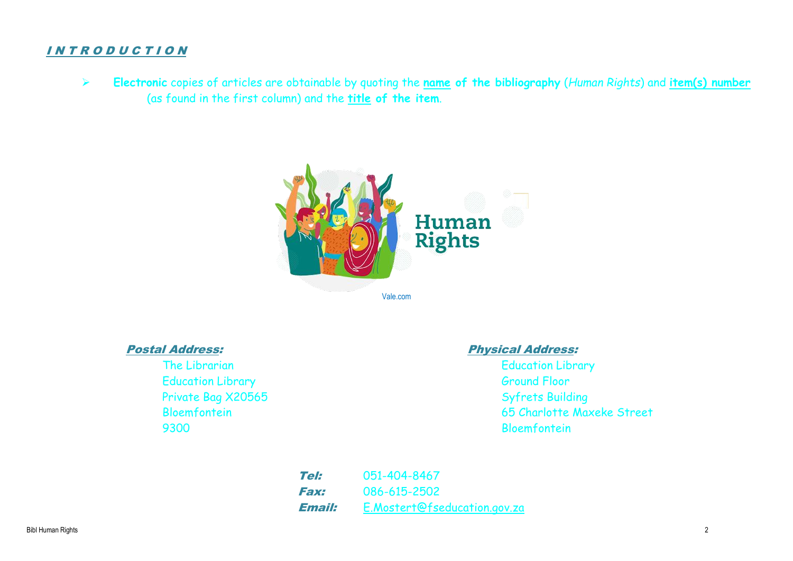### I N T R O D U C T I O N

➢ **Electronic** copies of articles are obtainable by quoting the **name of the bibliography** (*Human Rights*) and **item(s) number** (as found in the first column) and the **title of the item**.



Education Library **Example 2018** Ground Floor Private Bag X20565 Syfrets Building 9300 Bloemfontein

### Postal Address: Physical Address:

The Librarian The Library Contraction Library Bloemfontein 65 Charlotte Maxeke Street

> Tel: 051-404-8467 Fax: 086-615-2502 **Email:** [E.Mostert@fseducation.gov.za](mailto:E.Mostert@fseducation.gov.za)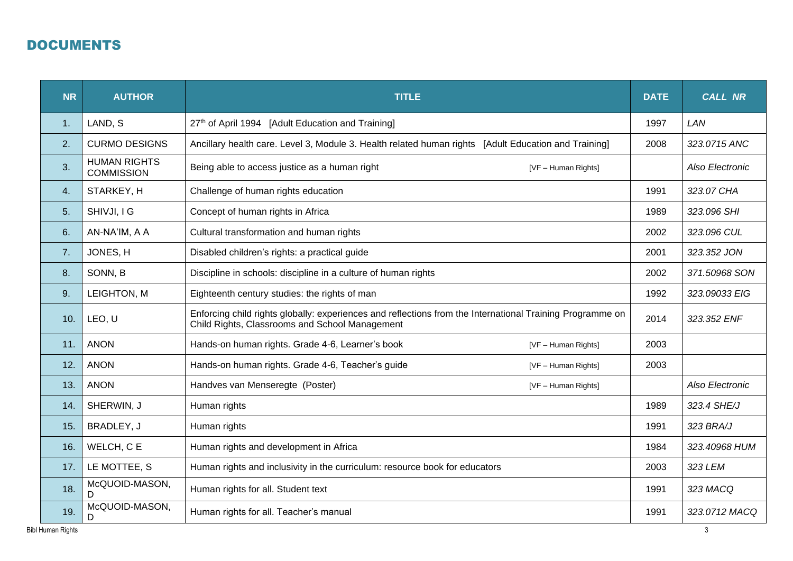## DOCUMENTS

| <b>NR</b> | <b>AUTHOR</b>                            | <b>TITLE</b>                                                                                                                                                | <b>DATE</b> | <b>CALL NR</b>  |
|-----------|------------------------------------------|-------------------------------------------------------------------------------------------------------------------------------------------------------------|-------------|-----------------|
| 1.        | LAND, S                                  | 27th of April 1994 [Adult Education and Training]                                                                                                           | 1997        | LAN             |
| 2.        | <b>CURMO DESIGNS</b>                     | Ancillary health care. Level 3, Module 3. Health related human rights [Adult Education and Training]                                                        | 2008        | 323.0715 ANC    |
| 3.        | <b>HUMAN RIGHTS</b><br><b>COMMISSION</b> | Being able to access justice as a human right<br>[VF - Human Rights]                                                                                        |             | Also Electronic |
| 4.        | STARKEY, H                               | Challenge of human rights education                                                                                                                         | 1991        | 323.07 CHA      |
| 5.        | SHIVJI, I G                              | Concept of human rights in Africa                                                                                                                           | 1989        | 323.096 SHI     |
| 6.        | AN-NA'IM, A A                            | Cultural transformation and human rights                                                                                                                    | 2002        | 323.096 CUL     |
| 7.        | JONES, H                                 | Disabled children's rights: a practical guide                                                                                                               | 2001        | 323.352 JON     |
| 8.        | SONN, B                                  | Discipline in schools: discipline in a culture of human rights                                                                                              |             | 371.50968 SON   |
| 9.        | LEIGHTON, M                              | Eighteenth century studies: the rights of man                                                                                                               |             | 323.09033 EIG   |
| 10.       | LEO, U                                   | Enforcing child rights globally: experiences and reflections from the International Training Programme on<br>Child Rights, Classrooms and School Management |             | 323.352 ENF     |
| 11.       | <b>ANON</b>                              | Hands-on human rights. Grade 4-6, Learner's book<br>[VF - Human Rights]                                                                                     | 2003        |                 |
| 12.       | <b>ANON</b>                              | Hands-on human rights. Grade 4-6, Teacher's guide<br>[VF - Human Rights]                                                                                    | 2003        |                 |
| 13.       | <b>ANON</b>                              | Handves van Menseregte (Poster)<br>[VF - Human Rights]                                                                                                      |             | Also Electronic |
| 14.       | SHERWIN, J                               | Human rights                                                                                                                                                | 1989        | 323.4 SHE/J     |
| 15.       | BRADLEY, J                               | Human rights                                                                                                                                                | 1991        | 323 BRA/J       |
| 16.       | WELCH, C E                               | Human rights and development in Africa                                                                                                                      | 1984        | 323.40968 HUM   |
| 17.       | LE MOTTEE, S                             | Human rights and inclusivity in the curriculum: resource book for educators                                                                                 |             | 323 LEM         |
| 18.       | McQUOID-MASON,<br>D                      | Human rights for all. Student text                                                                                                                          | 1991        | 323 MACQ        |
| 19.       | McQUOID-MASON,<br>D                      | Human rights for all. Teacher's manual                                                                                                                      | 1991        | 323.0712 MACQ   |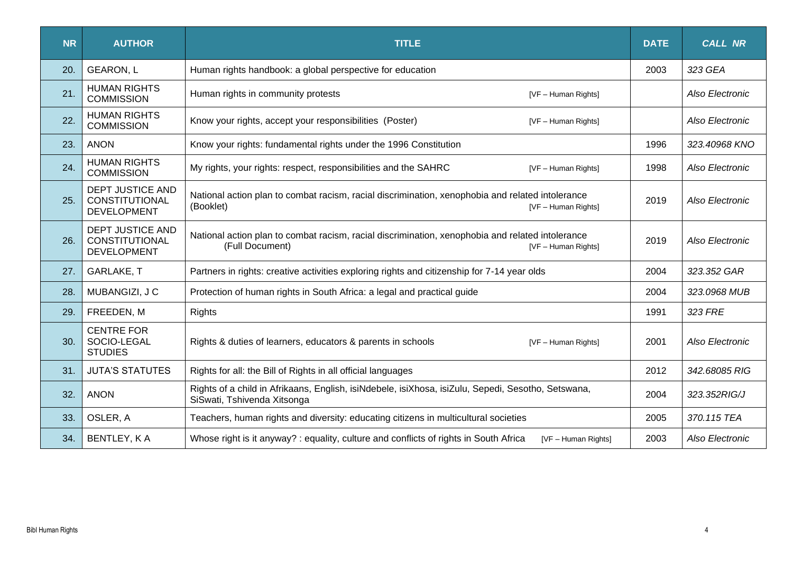| <b>NR</b> | <b>AUTHOR</b>                                                          | <b>TITLE</b>                                                                                                                               |      | <b>CALL NR</b>  |
|-----------|------------------------------------------------------------------------|--------------------------------------------------------------------------------------------------------------------------------------------|------|-----------------|
| 20.       | <b>GEARON, L</b>                                                       | Human rights handbook: a global perspective for education                                                                                  | 2003 | 323 GEA         |
| 21.       | <b>HUMAN RIGHTS</b><br><b>COMMISSION</b>                               | Human rights in community protests<br>[VF - Human Rights]                                                                                  |      | Also Electronic |
| 22.       | <b>HUMAN RIGHTS</b><br><b>COMMISSION</b>                               | Know your rights, accept your responsibilities (Poster)<br>[VF - Human Rights]                                                             |      | Also Electronic |
| 23.       | <b>ANON</b>                                                            | Know your rights: fundamental rights under the 1996 Constitution                                                                           | 1996 | 323.40968 KNO   |
| 24.       | <b>HUMAN RIGHTS</b><br><b>COMMISSION</b>                               | My rights, your rights: respect, responsibilities and the SAHRC<br>[VF - Human Rights]                                                     | 1998 | Also Electronic |
| 25.       | <b>DEPT JUSTICE AND</b><br><b>CONSTITUTIONAL</b><br><b>DEVELOPMENT</b> | National action plan to combat racism, racial discrimination, xenophobia and related intolerance<br>(Booklet)<br>[VF - Human Rights]       | 2019 | Also Electronic |
| 26.       | <b>DEPT JUSTICE AND</b><br>CONSTITUTIONAL<br><b>DEVELOPMENT</b>        | National action plan to combat racism, racial discrimination, xenophobia and related intolerance<br>(Full Document)<br>[VF - Human Rights] | 2019 | Also Electronic |
| 27.       | <b>GARLAKE, T</b>                                                      | Partners in rights: creative activities exploring rights and citizenship for 7-14 year olds                                                | 2004 | 323.352 GAR     |
| 28.       | MUBANGIZI, J C                                                         | Protection of human rights in South Africa: a legal and practical guide                                                                    | 2004 | 323.0968 MUB    |
| 29.       | FREEDEN, M                                                             | Rights                                                                                                                                     | 1991 | 323 FRE         |
| 30.       | <b>CENTRE FOR</b><br>SOCIO-LEGAL<br><b>STUDIES</b>                     | Rights & duties of learners, educators & parents in schools<br>[VF - Human Rights]                                                         | 2001 | Also Electronic |
| 31.       | <b>JUTA'S STATUTES</b>                                                 | Rights for all: the Bill of Rights in all official languages                                                                               | 2012 | 342.68085 RIG   |
| 32.       | <b>ANON</b>                                                            | Rights of a child in Afrikaans, English, isiNdebele, isiXhosa, isiZulu, Sepedi, Sesotho, Setswana,<br>SiSwati, Tshivenda Xitsonga          | 2004 | 323.352RIG/J    |
| 33.       | OSLER, A                                                               | Teachers, human rights and diversity: educating citizens in multicultural societies                                                        | 2005 | 370.115 TEA     |
| 34.       | BENTLEY, KA                                                            | Whose right is it anyway? : equality, culture and conflicts of rights in South Africa<br>[VF - Human Rights]                               | 2003 | Also Electronic |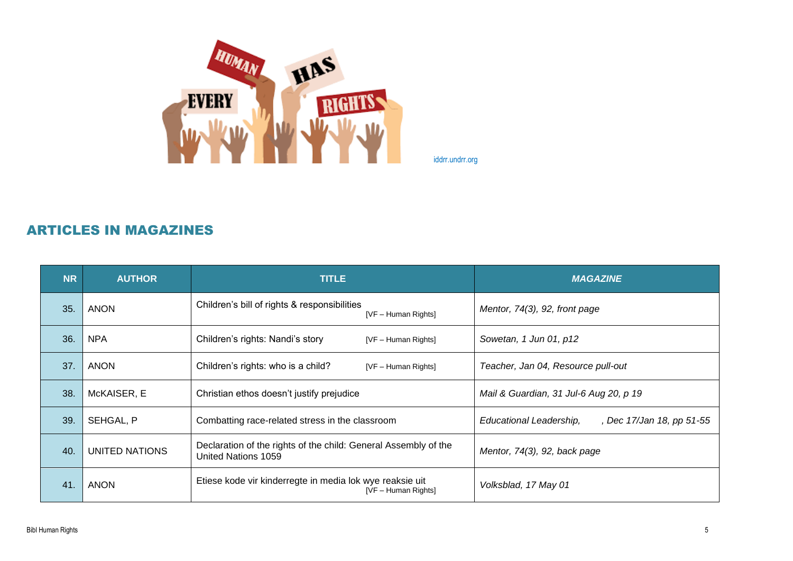

iddrr.undrr.org

## ARTICLES IN MAGAZINES

| <b>NR</b> | <b>AUTHOR</b>  | <b>TITLE</b>                                                                           | <b>MAGAZINE</b>                                      |
|-----------|----------------|----------------------------------------------------------------------------------------|------------------------------------------------------|
| 35.       | ANON           | Children's bill of rights & responsibilities<br>[VF - Human Rights]                    | Mentor, $74(3)$ , 92, front page                     |
| 36.       | <b>NPA</b>     | Children's rights: Nandi's story<br>[VF - Human Rights]                                | Sowetan, 1 Jun 01, p12                               |
| 37.       | ANON           | Children's rights: who is a child?<br>[VF - Human Rights]                              | Teacher, Jan 04, Resource pull-out                   |
| 38.       | McKAISER, E    | Christian ethos doesn't justify prejudice                                              | Mail & Guardian, 31 Jul-6 Aug 20, p 19               |
| 39.       | SEHGAL, P      | Combatting race-related stress in the classroom                                        | Educational Leadership,<br>, Dec 17/Jan 18, pp 51-55 |
| 40.       | UNITED NATIONS | Declaration of the rights of the child: General Assembly of the<br>United Nations 1059 | Mentor, 74(3), 92, back page                         |
| 41.       | <b>ANON</b>    | Etiese kode vir kinderregte in media lok wye reaksie uit<br>[VF - Human Rights]        | Volksblad, 17 May 01                                 |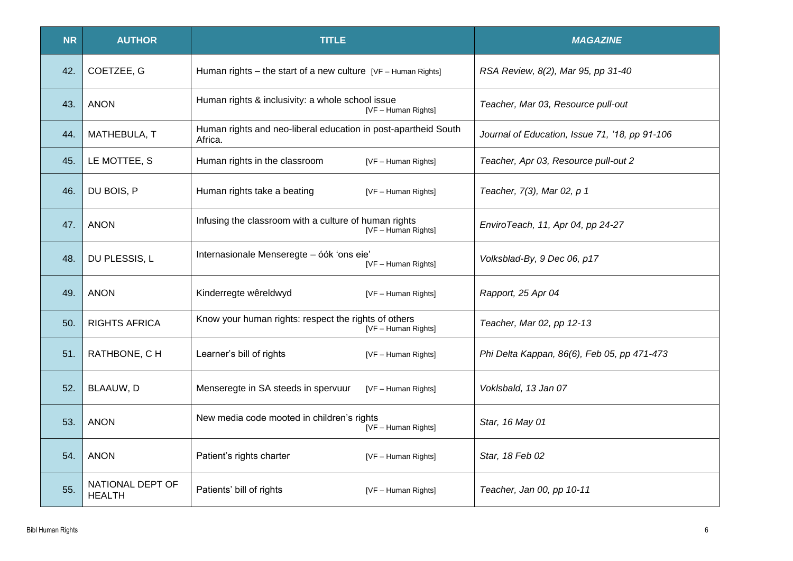| <b>NR</b> | <b>AUTHOR</b>                     | <b>TITLE</b>                                                                 | <b>MAGAZINE</b>                                |
|-----------|-----------------------------------|------------------------------------------------------------------------------|------------------------------------------------|
| 42.       | COETZEE, G                        | Human rights – the start of a new culture $[VF - Human Rights]$              | RSA Review, 8(2), Mar 95, pp 31-40             |
| 43.       | <b>ANON</b>                       | Human rights & inclusivity: a whole school issue<br>[VF - Human Rights]      | Teacher, Mar 03, Resource pull-out             |
| 44.       | MATHEBULA, T                      | Human rights and neo-liberal education in post-apartheid South<br>Africa.    | Journal of Education, Issue 71, '18, pp 91-106 |
| 45.       | LE MOTTEE, S                      | Human rights in the classroom<br>[VF - Human Rights]                         | Teacher, Apr 03, Resource pull-out 2           |
| 46.       | DU BOIS, P                        | Human rights take a beating<br>[VF - Human Rights]                           | Teacher, 7(3), Mar 02, p 1                     |
| 47.       | <b>ANON</b>                       | Infusing the classroom with a culture of human rights<br>[VF - Human Rights] | EnviroTeach, 11, Apr 04, pp 24-27              |
| 48.       | DU PLESSIS, L                     | Internasionale Menseregte - óók 'ons eie'<br>[VF - Human Rights]             | Volksblad-By, 9 Dec 06, p17                    |
| 49.       | <b>ANON</b>                       | Kinderregte wêreldwyd<br>[VF - Human Rights]                                 | Rapport, 25 Apr 04                             |
| 50.       | <b>RIGHTS AFRICA</b>              | Know your human rights: respect the rights of others<br>[VF - Human Rights]  | Teacher, Mar 02, pp 12-13                      |
| 51.       | RATHBONE, CH                      | Learner's bill of rights<br>[VF - Human Rights]                              | Phi Delta Kappan, 86(6), Feb 05, pp 471-473    |
| 52.       | BLAAUW, D                         | Menseregte in SA steeds in spervuur<br>[VF - Human Rights]                   | Voklsbald, 13 Jan 07                           |
| 53.       | <b>ANON</b>                       | New media code mooted in children's rights<br>[VF - Human Rights]            | Star, 16 May 01                                |
| 54.       | <b>ANON</b>                       | Patient's rights charter<br>[VF - Human Rights]                              | Star, 18 Feb 02                                |
| 55.       | NATIONAL DEPT OF<br><b>HEALTH</b> | Patients' bill of rights<br>[VF - Human Rights]                              | Teacher, Jan 00, pp 10-11                      |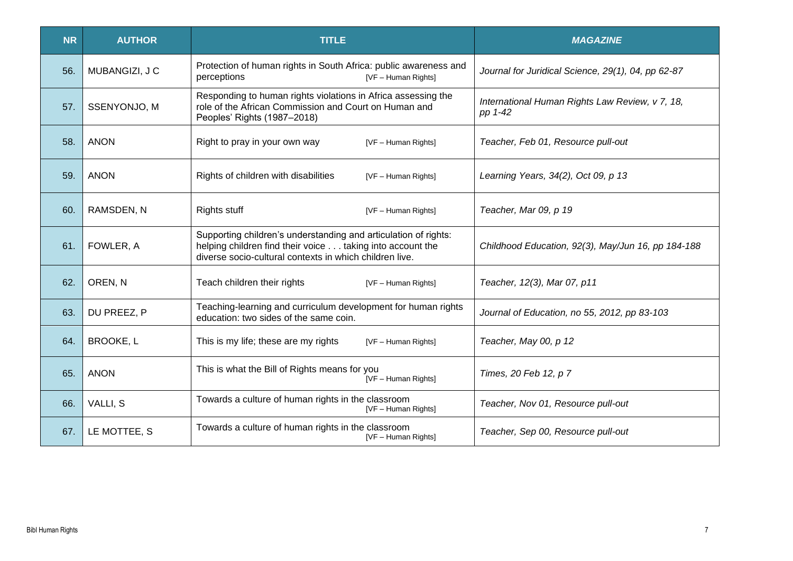| <b>NR</b> | <b>AUTHOR</b>    | <b>TITLE</b>                                                                                                                                                                            | <b>MAGAZINE</b>                                            |
|-----------|------------------|-----------------------------------------------------------------------------------------------------------------------------------------------------------------------------------------|------------------------------------------------------------|
| 56.       | MUBANGIZI, J C   | Protection of human rights in South Africa: public awareness and<br>perceptions<br>[VF - Human Rights]                                                                                  | Journal for Juridical Science, 29(1), 04, pp 62-87         |
| 57.       | SSENYONJO, M     | Responding to human rights violations in Africa assessing the<br>role of the African Commission and Court on Human and<br>Peoples' Rights (1987-2018)                                   | International Human Rights Law Review, v 7, 18,<br>pp 1-42 |
| 58.       | <b>ANON</b>      | Right to pray in your own way<br>[VF - Human Rights]                                                                                                                                    | Teacher, Feb 01, Resource pull-out                         |
| 59.       | <b>ANON</b>      | Rights of children with disabilities<br>[VF - Human Rights]                                                                                                                             | Learning Years, 34(2), Oct 09, p 13                        |
| 60.       | RAMSDEN, N       | <b>Rights stuff</b><br>[VF - Human Rights]                                                                                                                                              | Teacher, Mar 09, p 19                                      |
| 61.       | FOWLER, A        | Supporting children's understanding and articulation of rights:<br>helping children find their voice taking into account the<br>diverse socio-cultural contexts in which children live. | Childhood Education, 92(3), May/Jun 16, pp 184-188         |
| 62.       | OREN, N          | Teach children their rights<br>[VF - Human Rights]                                                                                                                                      | Teacher, 12(3), Mar 07, p11                                |
| 63.       | DU PREEZ, P      | Teaching-learning and curriculum development for human rights<br>education: two sides of the same coin.                                                                                 | Journal of Education, no 55, 2012, pp 83-103               |
| 64.       | <b>BROOKE, L</b> | This is my life; these are my rights<br>[VF - Human Rights]                                                                                                                             | Teacher, May 00, p 12                                      |
| 65.       | <b>ANON</b>      | This is what the Bill of Rights means for you<br>[VF - Human Rights]                                                                                                                    | Times, 20 Feb 12, p 7                                      |
| 66.       | VALLI, S         | Towards a culture of human rights in the classroom<br>[VF - Human Rights]                                                                                                               | Teacher, Nov 01, Resource pull-out                         |
| 67.       | LE MOTTEE, S     | Towards a culture of human rights in the classroom<br>[VF - Human Rights]                                                                                                               | Teacher, Sep 00, Resource pull-out                         |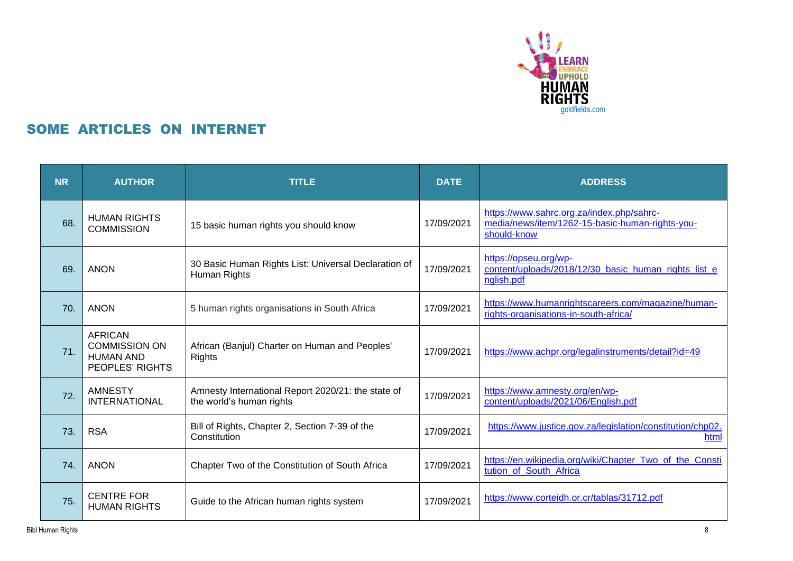

## SOME ARTICLES ON INTERNET

| <b>NR</b> | <b>AUTHOR</b>                                                                 | <b>TITLE</b>                                                                   | <b>DATE</b> | <b>ADDRESS</b>                                                                                              |
|-----------|-------------------------------------------------------------------------------|--------------------------------------------------------------------------------|-------------|-------------------------------------------------------------------------------------------------------------|
| 68.       | <b>HUMAN RIGHTS</b><br><b>COMMISSION</b>                                      | 15 basic human rights you should know                                          | 17/09/2021  | https://www.sahrc.org.za/index.php/sahrc-<br>media/news/item/1262-15-basic-human-rights-you-<br>should-know |
| 69.       | <b>ANON</b>                                                                   | 30 Basic Human Rights List: Universal Declaration of<br>Human Rights           | 17/09/2021  | https://opseu.org/wp-<br>content/uploads/2018/12/30 basic human rights list e<br>nglish.pdf                 |
| 70.       | <b>ANON</b>                                                                   | 5 human rights organisations in South Africa                                   | 17/09/2021  | https://www.humanrightscareers.com/magazine/human-<br>rights-organisations-in-south-africa/                 |
| 71.       | <b>AFRICAN</b><br><b>COMMISSION ON</b><br><b>HUMAN AND</b><br>PEOPLES' RIGHTS | African (Banjul) Charter on Human and Peoples'<br><b>Rights</b>                | 17/09/2021  | https://www.achpr.org/legalinstruments/detail?id=49                                                         |
| 72.       | <b>AMNESTY</b><br><b>INTERNATIONAL</b>                                        | Amnesty International Report 2020/21: the state of<br>the world's human rights | 17/09/2021  | https://www.amnesty.org/en/wp-<br>content/uploads/2021/06/English.pdf                                       |
| 73.       | <b>RSA</b>                                                                    | Bill of Rights, Chapter 2, Section 7-39 of the<br>Constitution                 | 17/09/2021  | https://www.justice.gov.za/legislation/constitution/chp02.<br>html                                          |
| 74.       | <b>ANON</b>                                                                   | Chapter Two of the Constitution of South Africa                                | 17/09/2021  | https://en.wikipedia.org/wiki/Chapter_Two_of_the_Consti<br>tution of South Africa                           |
| 75.       | <b>CENTRE FOR</b><br><b>HUMAN RIGHTS</b>                                      | Guide to the African human rights system                                       | 17/09/2021  | https://www.corteidh.or.cr/tablas/31712.pdf                                                                 |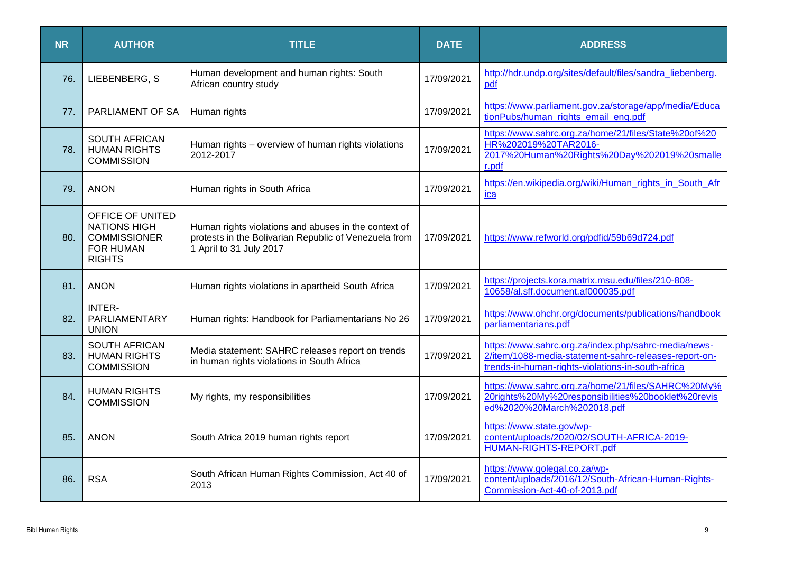| <b>NR</b> | <b>AUTHOR</b>                                                                                       | <b>TITLE</b>                                                                                                                             | <b>DATE</b> | <b>ADDRESS</b>                                                                                                                                                     |
|-----------|-----------------------------------------------------------------------------------------------------|------------------------------------------------------------------------------------------------------------------------------------------|-------------|--------------------------------------------------------------------------------------------------------------------------------------------------------------------|
| 76.       | LIEBENBERG, S                                                                                       | Human development and human rights: South<br>African country study                                                                       | 17/09/2021  | http://hdr.undp.org/sites/default/files/sandra liebenberg.<br>pdf                                                                                                  |
| 77.       | PARLIAMENT OF SA                                                                                    | Human rights                                                                                                                             | 17/09/2021  | https://www.parliament.gov.za/storage/app/media/Educa<br>tionPubs/human_rights_email_eng.pdf                                                                       |
| 78.       | <b>SOUTH AFRICAN</b><br><b>HUMAN RIGHTS</b><br><b>COMMISSION</b>                                    | Human rights - overview of human rights violations<br>2012-2017                                                                          | 17/09/2021  | https://www.sahrc.org.za/home/21/files/State%20of%20<br>HR%202019%20TAR2016-<br>2017%20Human%20Rights%20Day%202019%20smalle<br>r.pdf                               |
| 79.       | <b>ANON</b>                                                                                         | Human rights in South Africa                                                                                                             | 17/09/2021  | https://en.wikipedia.org/wiki/Human rights in South Afr<br>ica                                                                                                     |
| 80.       | OFFICE OF UNITED<br><b>NATIONS HIGH</b><br><b>COMMISSIONER</b><br><b>FOR HUMAN</b><br><b>RIGHTS</b> | Human rights violations and abuses in the context of<br>protests in the Bolivarian Republic of Venezuela from<br>1 April to 31 July 2017 | 17/09/2021  | https://www.refworld.org/pdfid/59b69d724.pdf                                                                                                                       |
| 81.       | <b>ANON</b>                                                                                         | Human rights violations in apartheid South Africa                                                                                        | 17/09/2021  | https://projects.kora.matrix.msu.edu/files/210-808-<br>10658/al.sff.document.af000035.pdf                                                                          |
| 82.       | <b>INTER-</b><br>PARLIAMENTARY<br><b>UNION</b>                                                      | Human rights: Handbook for Parliamentarians No 26                                                                                        | 17/09/2021  | https://www.ohchr.org/documents/publications/handbook<br>parliamentarians.pdf                                                                                      |
| 83.       | <b>SOUTH AFRICAN</b><br><b>HUMAN RIGHTS</b><br><b>COMMISSION</b>                                    | Media statement: SAHRC releases report on trends<br>in human rights violations in South Africa                                           | 17/09/2021  | https://www.sahrc.org.za/index.php/sahrc-media/news-<br>2/item/1088-media-statement-sahrc-releases-report-on-<br>trends-in-human-rights-violations-in-south-africa |
| 84.       | <b>HUMAN RIGHTS</b><br><b>COMMISSION</b>                                                            | My rights, my responsibilities                                                                                                           | 17/09/2021  | https://www.sahrc.org.za/home/21/files/SAHRC%20My%<br>20rights%20My%20responsibilities%20booklet%20revis<br>ed%2020%20March%202018.pdf                             |
| 85.       | <b>ANON</b>                                                                                         | South Africa 2019 human rights report                                                                                                    | 17/09/2021  | https://www.state.gov/wp-<br>content/uploads/2020/02/SOUTH-AFRICA-2019-<br>HUMAN-RIGHTS-REPORT.pdf                                                                 |
| 86.       | <b>RSA</b>                                                                                          | South African Human Rights Commission, Act 40 of<br>2013                                                                                 | 17/09/2021  | https://www.golegal.co.za/wp-<br>content/uploads/2016/12/South-African-Human-Rights-<br>Commission-Act-40-of-2013.pdf                                              |